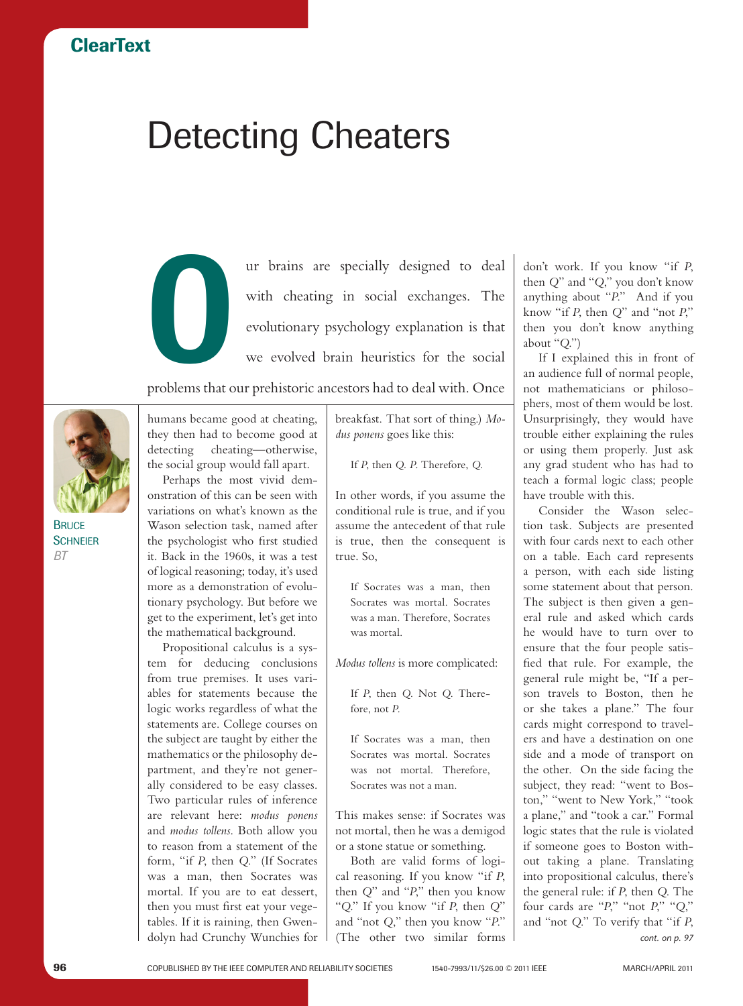## Detecting Cheaters

ur brains are specially designed to deal<br>with cheating in social exchanges. The<br>evolutionary psychology explanation is that<br>we evolved brain heuristics for the social with cheating in social exchanges. The evolutionary psychology explanation is that we evolved brain heuristics for the social

problems that our prehistoric ancestors had to deal with. Once



**BRUCE SCHNEIER** *BT*

humans became good at cheating, they then had to become good at detecting cheating—otherwise, the social group would fall apart.

Perhaps the most vivid demonstration of this can be seen with variations on what's known as the Wason selection task, named after the psychologist who first studied it. Back in the 1960s, it was a test of logical reasoning; today, it's used more as a demonstration of evolutionary psychology. But before we get to the experiment, let's get into the mathematical background.

Propositional calculus is a system for deducing conclusions from true premises. It uses variables for statements because the logic works regardless of what the statements are. College courses on the subject are taught by either the mathematics or the philosophy department, and they're not generally considered to be easy classes. Two particular rules of inference are relevant here: *modus ponens* and *modus tollens*. Both allow you to reason from a statement of the form, "if *P*, then *Q*." (If Socrates was a man, then Socrates was mortal. If you are to eat dessert, then you must first eat your vegetables. If it is raining, then Gwendolyn had Crunchy Wunchies for

breakfast. That sort of thing.) *Modus ponens* goes like this:

If *P*, then *Q*. *P*. Therefore, *Q*.

In other words, if you assume the conditional rule is true, and if you assume the antecedent of that rule is true, then the consequent is true. So,

If Socrates was a man, then Socrates was mortal. Socrates was a man. Therefore, Socrates was mortal.

*Modus tollens* is more complicated:

If *P*, then *Q*. Not *Q*. Therefore, not *P*.

If Socrates was a man, then Socrates was mortal. Socrates was not mortal. Therefore, Socrates was not a man.

This makes sense: if Socrates was not mortal, then he was a demigod or a stone statue or something.

Both are valid forms of logical reasoning. If you know "if *P*, then *Q*" and "*P*," then you know "*Q*." If you know "if *P*, then *Q*" and "not *Q*," then you know "*P*." (The other two similar forms don't work. If you know "if *P*, then *Q*" and "*Q*," you don't know anything about "*P*." And if you know "if *P*, then *Q*" and "not *P*," then you don't know anything about "*Q*.")

If I explained this in front of an audience full of normal people, not mathematicians or philosophers, most of them would be lost. Unsurprisingly, they would have trouble either explaining the rules or using them properly. Just ask any grad student who has had to teach a formal logic class; people have trouble with this.

Consider the Wason selection task. Subjects are presented with four cards next to each other on a table. Each card represents a person, with each side listing some statement about that person. The subject is then given a general rule and asked which cards he would have to turn over to ensure that the four people satisfied that rule. For example, the general rule might be, "If a person travels to Boston, then he or she takes a plane." The four cards might correspond to travelers and have a destination on one side and a mode of transport on the other. On the side facing the subject, they read: "went to Boston," "went to New York," "took a plane," and "took a car." Formal logic states that the rule is violated if someone goes to Boston without taking a plane. Translating into propositional calculus, there's the general rule: if *P*, then *Q*. The four cards are "*P*," "not *P*," "*Q*," and "not *Q*." To verify that "if *P*, *cont. on p. 97*